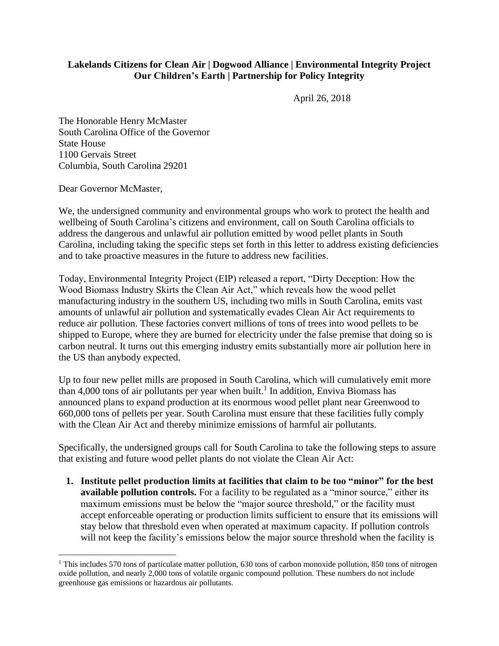## **Lakelands Citizens for Clean Air | Dogwood Alliance | Environmental Integrity Project Our Children's Earth | Partnership for Policy Integrity**

April 26, 2018

The Honorable Henry McMaster South Carolina Office of the Governor State House 1100 Gervais Street Columbia, South Carolina 29201

Dear Governor McMaster,

 $\overline{a}$ 

We, the undersigned community and environmental groups who work to protect the health and wellbeing of South Carolina's citizens and environment, call on South Carolina officials to address the dangerous and unlawful air pollution emitted by wood pellet plants in South Carolina, including taking the specific steps set forth in this letter to address existing deficiencies and to take proactive measures in the future to address new facilities.

Today, Environmental Integrity Project (EIP) released a report, "Dirty Deception: How the Wood Biomass Industry Skirts the Clean Air Act," which reveals how the wood pellet manufacturing industry in the southern US, including two mills in South Carolina, emits vast amounts of unlawful air pollution and systematically evades Clean Air Act requirements to reduce air pollution. These factories convert millions of tons of trees into wood pellets to be shipped to Europe, where they are burned for electricity under the false premise that doing so is carbon neutral. It turns out this emerging industry emits substantially more air pollution here in the US than anybody expected.

Up to four new pellet mills are proposed in South Carolina, which will cumulatively emit more than  $4,000$  tons of air pollutants per year when built.<sup>1</sup> In addition, Enviva Biomass has announced plans to expand production at its enormous wood pellet plant near Greenwood to 660,000 tons of pellets per year. South Carolina must ensure that these facilities fully comply with the Clean Air Act and thereby minimize emissions of harmful air pollutants.

Specifically, the undersigned groups call for South Carolina to take the following steps to assure that existing and future wood pellet plants do not violate the Clean Air Act:

**1. Institute pellet production limits at facilities that claim to be too "minor" for the best available pollution controls.** For a facility to be regulated as a "minor source," either its maximum emissions must be below the "major source threshold," or the facility must accept enforceable operating or production limits sufficient to ensure that its emissions will stay below that threshold even when operated at maximum capacity. If pollution controls will not keep the facility's emissions below the major source threshold when the facility is

<sup>&</sup>lt;sup>1</sup> This includes 570 tons of particulate matter pollution, 630 tons of carbon monoxide pollution, 850 tons of nitrogen oxide pollution, and nearly 2,000 tons of volatile organic compound pollution. These numbers do not include greenhouse gas emissions or hazardous air pollutants.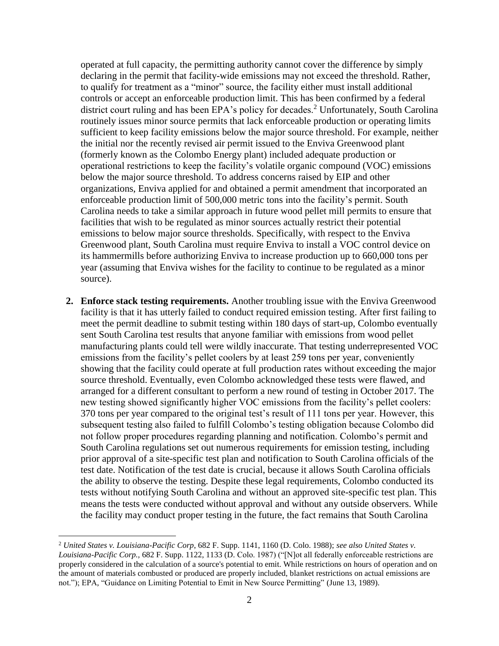operated at full capacity, the permitting authority cannot cover the difference by simply declaring in the permit that facility-wide emissions may not exceed the threshold. Rather, to qualify for treatment as a "minor" source, the facility either must install additional controls or accept an enforceable production limit. This has been confirmed by a federal district court ruling and has been EPA's policy for decades.<sup>2</sup> Unfortunately, South Carolina routinely issues minor source permits that lack enforceable production or operating limits sufficient to keep facility emissions below the major source threshold. For example, neither the initial nor the recently revised air permit issued to the Enviva Greenwood plant (formerly known as the Colombo Energy plant) included adequate production or operational restrictions to keep the facility's volatile organic compound (VOC) emissions below the major source threshold. To address concerns raised by EIP and other organizations, Enviva applied for and obtained a permit amendment that incorporated an enforceable production limit of 500,000 metric tons into the facility's permit. South Carolina needs to take a similar approach in future wood pellet mill permits to ensure that facilities that wish to be regulated as minor sources actually restrict their potential emissions to below major source thresholds. Specifically, with respect to the Enviva Greenwood plant, South Carolina must require Enviva to install a VOC control device on its hammermills before authorizing Enviva to increase production up to 660,000 tons per year (assuming that Enviva wishes for the facility to continue to be regulated as a minor source).

**2. Enforce stack testing requirements.** Another troubling issue with the Enviva Greenwood facility is that it has utterly failed to conduct required emission testing. After first failing to meet the permit deadline to submit testing within 180 days of start-up, Colombo eventually sent South Carolina test results that anyone familiar with emissions from wood pellet manufacturing plants could tell were wildly inaccurate. That testing underrepresented VOC emissions from the facility's pellet coolers by at least 259 tons per year, conveniently showing that the facility could operate at full production rates without exceeding the major source threshold. Eventually, even Colombo acknowledged these tests were flawed, and arranged for a different consultant to perform a new round of testing in October 2017. The new testing showed significantly higher VOC emissions from the facility's pellet coolers: 370 tons per year compared to the original test's result of 111 tons per year. However, this subsequent testing also failed to fulfill Colombo's testing obligation because Colombo did not follow proper procedures regarding planning and notification. Colombo's permit and South Carolina regulations set out numerous requirements for emission testing, including prior approval of a site-specific test plan and notification to South Carolina officials of the test date. Notification of the test date is crucial, because it allows South Carolina officials the ability to observe the testing. Despite these legal requirements, Colombo conducted its tests without notifying South Carolina and without an approved site-specific test plan. This means the tests were conducted without approval and without any outside observers. While the facility may conduct proper testing in the future, the fact remains that South Carolina

 $\overline{a}$ 

<sup>2</sup> *United States v. Louisiana-Pacific Corp*, 682 F. Supp. 1141, 1160 (D. Colo. 1988); *see also United States v. Louisiana-Pacific Corp.,* 682 F. Supp. 1122, 1133 (D. Colo. 1987) ("[N]ot all federally enforceable restrictions are properly considered in the calculation of a source's potential to emit. While restrictions on hours of operation and on the amount of materials combusted or produced are properly included, blanket restrictions on actual emissions are not."); EPA, "Guidance on Limiting Potential to Emit in New Source Permitting" (June 13, 1989).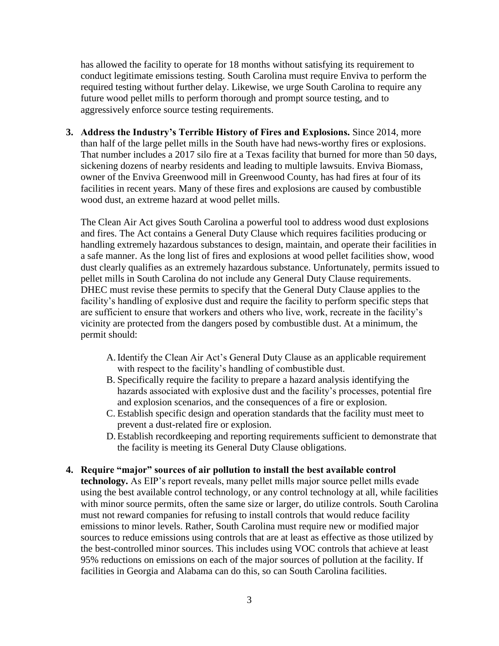has allowed the facility to operate for 18 months without satisfying its requirement to conduct legitimate emissions testing. South Carolina must require Enviva to perform the required testing without further delay. Likewise, we urge South Carolina to require any future wood pellet mills to perform thorough and prompt source testing, and to aggressively enforce source testing requirements.

**3. Address the Industry's Terrible History of Fires and Explosions.** Since 2014, more than half of the large pellet mills in the South have had news-worthy fires or explosions. That number includes a 2017 silo fire at a Texas facility that burned for more than 50 days, sickening dozens of nearby residents and leading to multiple lawsuits. Enviva Biomass, owner of the Enviva Greenwood mill in Greenwood County, has had fires at four of its facilities in recent years. Many of these fires and explosions are caused by combustible wood dust, an extreme hazard at wood pellet mills.

The Clean Air Act gives South Carolina a powerful tool to address wood dust explosions and fires. The Act contains a General Duty Clause which requires facilities producing or handling extremely hazardous substances to design, maintain, and operate their facilities in a safe manner. As the long list of fires and explosions at wood pellet facilities show, wood dust clearly qualifies as an extremely hazardous substance. Unfortunately, permits issued to pellet mills in South Carolina do not include any General Duty Clause requirements. DHEC must revise these permits to specify that the General Duty Clause applies to the facility's handling of explosive dust and require the facility to perform specific steps that are sufficient to ensure that workers and others who live, work, recreate in the facility's vicinity are protected from the dangers posed by combustible dust. At a minimum, the permit should:

- A.Identify the Clean Air Act's General Duty Clause as an applicable requirement with respect to the facility's handling of combustible dust.
- B. Specifically require the facility to prepare a hazard analysis identifying the hazards associated with explosive dust and the facility's processes, potential fire and explosion scenarios, and the consequences of a fire or explosion.
- C. Establish specific design and operation standards that the facility must meet to prevent a dust-related fire or explosion.
- D.Establish recordkeeping and reporting requirements sufficient to demonstrate that the facility is meeting its General Duty Clause obligations.
- **4. Require "major" sources of air pollution to install the best available control technology.** As EIP's report reveals, many pellet mills major source pellet mills evade using the best available control technology, or any control technology at all, while facilities with minor source permits, often the same size or larger, do utilize controls. South Carolina must not reward companies for refusing to install controls that would reduce facility emissions to minor levels. Rather, South Carolina must require new or modified major sources to reduce emissions using controls that are at least as effective as those utilized by the best-controlled minor sources. This includes using VOC controls that achieve at least 95% reductions on emissions on each of the major sources of pollution at the facility. If facilities in Georgia and Alabama can do this, so can South Carolina facilities.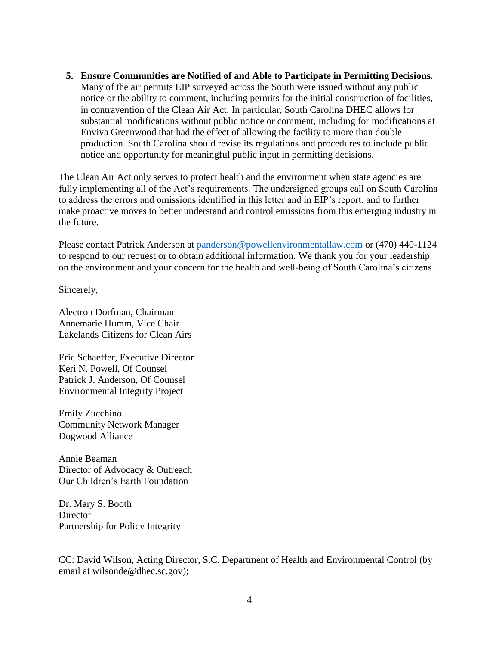**5. Ensure Communities are Notified of and Able to Participate in Permitting Decisions.**  Many of the air permits EIP surveyed across the South were issued without any public notice or the ability to comment, including permits for the initial construction of facilities, in contravention of the Clean Air Act. In particular, South Carolina DHEC allows for substantial modifications without public notice or comment, including for modifications at Enviva Greenwood that had the effect of allowing the facility to more than double production. South Carolina should revise its regulations and procedures to include public notice and opportunity for meaningful public input in permitting decisions.

The Clean Air Act only serves to protect health and the environment when state agencies are fully implementing all of the Act's requirements. The undersigned groups call on South Carolina to address the errors and omissions identified in this letter and in EIP's report, and to further make proactive moves to better understand and control emissions from this emerging industry in the future.

Please contact Patrick Anderson at [panderson@powellenvironmentallaw.com](mailto:panderson@powellenvironmentallaw.com) or (470) 440-1124 to respond to our request or to obtain additional information. We thank you for your leadership on the environment and your concern for the health and well-being of South Carolina's citizens.

Sincerely,

Alectron Dorfman, Chairman Annemarie Humm, Vice Chair Lakelands Citizens for Clean Airs

Eric Schaeffer, Executive Director Keri N. Powell, Of Counsel Patrick J. Anderson, Of Counsel Environmental Integrity Project

Emily Zucchino Community Network Manager Dogwood Alliance

Annie Beaman Director of Advocacy & Outreach Our Children's Earth Foundation

Dr. Mary S. Booth **Director** Partnership for Policy Integrity

CC: David Wilson, Acting Director, S.C. Department of Health and Environmental Control (by email at wilsonde@dhec.sc.gov);